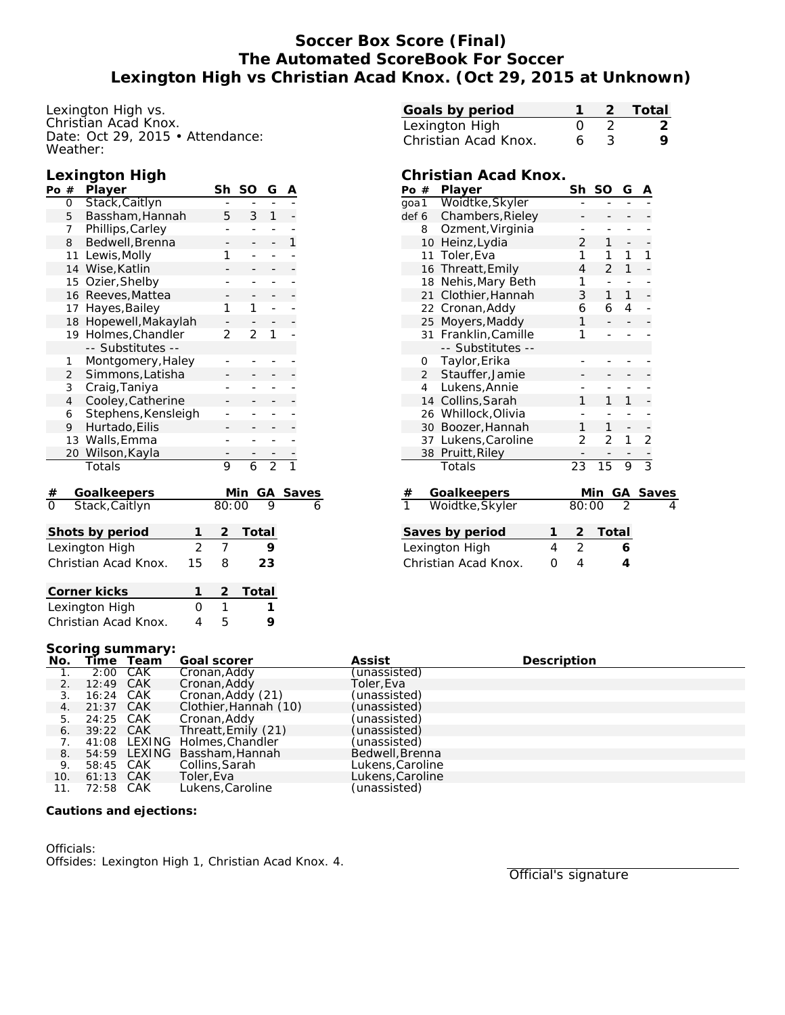## **Soccer Box Score (Final) The Automated ScoreBook For Soccer Lexington High vs Christian Acad Knox. (Oct 29, 2015 at Unknown)**

Lexington High vs. Christian Acad Knox. Date: Oct 29, 2015 • Attendance: Weather:

### **Lexington High**

| Po #                             |                | Player                                |                | Sh             | SO             | G              | Α |              |
|----------------------------------|----------------|---------------------------------------|----------------|----------------|----------------|----------------|---|--------------|
|                                  | 0              | Stack, Caitlyn                        |                |                |                |                |   |              |
|                                  | 5              | Bassham, Hannah                       | 5              | 3              | 1              |                |   |              |
|                                  | 7              | Phillips, Carley                      |                |                |                |                |   |              |
|                                  | 8              | Bedwell, Brenna                       |                |                |                | 1              |   |              |
|                                  | 11             | Lewis, Molly                          |                | 1              | -              | $\overline{a}$ |   |              |
|                                  | 14             | Wise, Katlin                          |                |                |                | -              |   |              |
|                                  | 15             | Ozier, Shelby                         |                |                |                |                |   |              |
|                                  | 16             | Reeves, Mattea                        |                |                |                |                |   |              |
|                                  | 17             | Hayes, Bailey                         |                | 1              | 1              |                |   |              |
|                                  | 18             | Hopewell, Makaylah                    |                |                |                |                |   |              |
|                                  | 19             | Holmes, Chandler<br>-- Substitutes -- | $\overline{2}$ | $\overline{2}$ | 1              |                |   |              |
|                                  | 1              | Montgomery, Haley                     |                |                |                |                |   |              |
|                                  | 2              | Simmons, Latisha                      |                |                |                |                |   |              |
|                                  | 3              | Craig, Taniya                         | -              |                |                |                |   |              |
|                                  | $\overline{4}$ | Cooley, Catherine                     |                |                |                |                |   |              |
|                                  | 6              | Stephens, Kensleigh                   |                |                |                |                |   |              |
|                                  | 9              | Hurtado, Eilis                        |                |                |                |                |   |              |
|                                  | 13             | Walls, Emma                           |                |                |                |                |   |              |
|                                  | 20             | Wilson, Kayla                         |                |                |                |                |   |              |
|                                  |                | Totals                                |                | 9              | $\overline{6}$ | $\overline{2}$ |   |              |
| $\frac{\#}{0}$                   |                | Goalkeepers                           |                |                | Min            | GА             |   | <b>Saves</b> |
|                                  |                | Stack, Caitlyn                        |                | 80:00          |                | 9              |   | 6            |
| Shots by period<br>1             |                |                                       |                |                | <b>Total</b>   |                |   |              |
| $\overline{2}$<br>Lexington High |                |                                       |                |                |                | 9              |   |              |
| Christian Acad Knox.<br>15       |                |                                       |                |                |                | 23             |   |              |
| Corner kicks<br>1                |                |                                       |                |                | <u>Total</u>   |                |   |              |
| Lexington High<br>0              |                |                                       |                |                |                | 1              |   |              |
| Christian Acad Knox.<br>4        |                |                                       |                | 5              |                | 9              |   |              |
|                                  |                |                                       |                |                |                |                |   |              |

| Goals by period      |                  |    | 2 Total |
|----------------------|------------------|----|---------|
| Lexington High       | $\left( \right)$ |    |         |
| Christian Acad Knox. | 6.               | ંર |         |

### **Christian Acad Knox.**

| Po $#$               |                | Player              |   | Sh              | SO             | G  | Α              |              |
|----------------------|----------------|---------------------|---|-----------------|----------------|----|----------------|--------------|
| goa 1                |                | Woidtke, Skyler     |   |                 |                |    |                |              |
| def 6                |                | Chambers, Rieley    |   |                 |                |    |                |              |
|                      | 8              | Ozment, Virginia    |   |                 |                |    |                |              |
|                      | 10             | Heinz, Lydia        |   | 2               | 1              |    |                |              |
|                      | 11             | Toler, Eva          |   | 1               | 1              | 1  | 1              |              |
|                      | 16             | Threatt, Emily      |   | 4               | 2              | 1  |                |              |
|                      | 18             | Nehis, Mary Beth    |   | 1               |                |    |                |              |
|                      | 21             | Clothier, Hannah    |   | 3               | 1              | 1  |                |              |
|                      | 22             | Cronan, Addy        |   | 6               | 6              | 4  |                |              |
|                      | 25             | Moyers, Maddy       |   | 1               |                |    |                |              |
|                      | 31             | Franklin, Camille   |   | 1               |                |    |                |              |
|                      |                | -- Substitutes --   |   |                 |                |    |                |              |
|                      | 0              | Taylor, Erika       |   |                 |                |    |                |              |
|                      | $\overline{2}$ | Stauffer, Jamie     |   |                 |                |    |                |              |
|                      | 4              | Lukens, Annie       |   |                 |                |    |                |              |
|                      | 14             | Collins, Sarah      |   | 1               | 1              | 1  |                |              |
|                      |                | 26 Whillock, Olivia |   |                 |                |    |                |              |
|                      | 30             | Boozer, Hannah      |   | 1               | 1              | -  |                |              |
|                      |                | 37 Lukens, Caroline |   | 2               | $\overline{2}$ | 1  | $\overline{2}$ |              |
|                      | 38             | Pruitt, Riley       |   |                 |                |    |                |              |
|                      |                | Totals              |   | $\overline{23}$ | 15             | 9  | $\frac{1}{3}$  |              |
| #                    |                | <b>Goalkeepers</b>  |   |                 | Min            | GА |                | <u>Saves</u> |
| ī                    |                | Woidtke, Skyler     |   | 80:00           |                | っ  |                | 4            |
|                      |                |                     |   |                 |                |    |                |              |
| Saves by period      |                |                     | 1 | 2               | Total          |    |                |              |
| Lexington High       |                |                     | 4 | $\overline{2}$  |                | 6  |                |              |
| Christian Acad Knox. |                |                     | 0 | 4               |                | 4  |                |              |

### **Scoring summary:**

| No.                              |           | Time Team | Goal scorer                   | Assist           | Description |
|----------------------------------|-----------|-----------|-------------------------------|------------------|-------------|
|                                  |           | 2:00 CAK  | Cronan, Addy                  | (unassisted)     |             |
| 2.                               | 12:49 CAK |           | Cronan, Addy                  | Toler,Eva        |             |
| 3.                               | 16:24 CAK |           | Cronan, Addy (21)             | (unassisted)     |             |
| 4.                               | 21:37 CAK |           | Clothier, Hannah (10)         | (unassisted)     |             |
| 5.                               | 24:25 CAK |           | Cronan, Addy                  | (unassisted)     |             |
| 6.                               | 39:22 CAK |           | Threatt, Emily (21)           | (unassisted)     |             |
| $7_{\scriptscriptstyle{\ddots}}$ |           |           | 41:08 LEXING Holmes. Chandler | (unassisted)     |             |
| 8.                               |           |           | 54:59 LEXING Bassham, Hannah  | Bedwell, Brenna  |             |
| 9.                               | 58:45 CAK |           | Collins, Sarah                | Lukens, Caroline |             |
| 10.                              | 61:13 CAK |           | Toler, Eva                    | Lukens, Caroline |             |
| 11.                              | 72:58 CAK |           | Lukens, Caroline              | (unassisted)     |             |

**Cautions and ejections:**

Officials: Offsides: Lexington High 1, Christian Acad Knox. 4.

Official's signature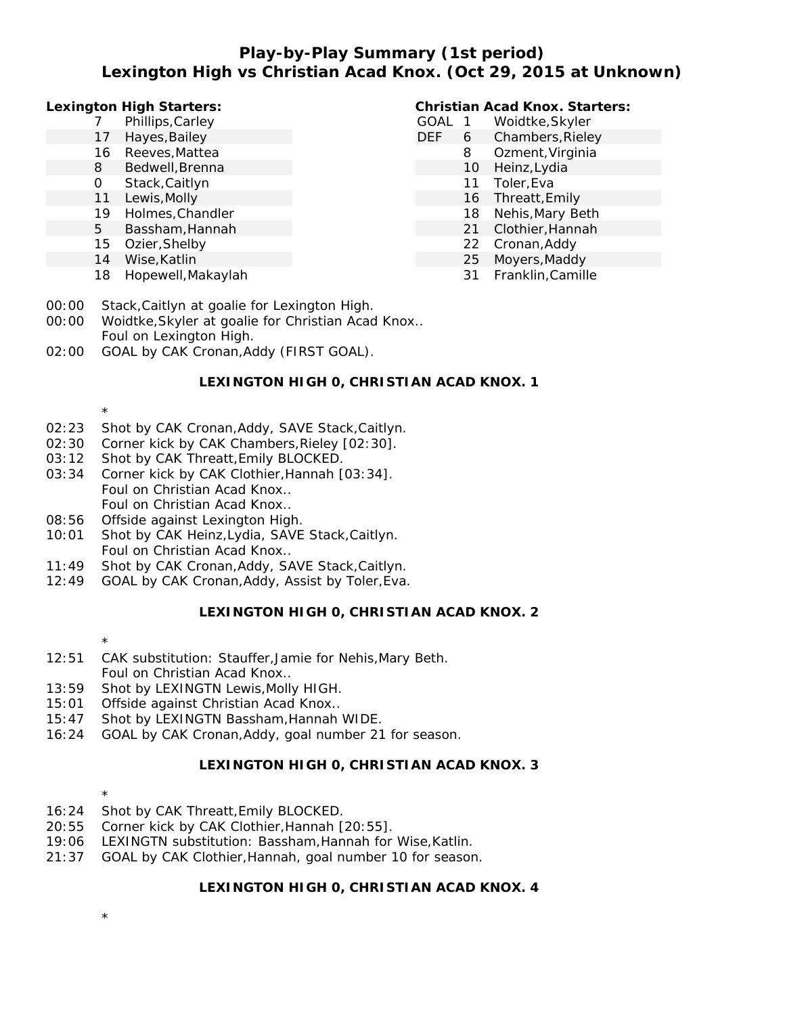### **Play-by-Play Summary (1st period) Lexington High vs Christian Acad Knox. (Oct 29, 2015 at Unknown)**

**Lexington High Starters:**

- 7 Phillips,Carley
- 17 Hayes, Bailey
- 16 Reeves,Mattea
- 8 Bedwell,Brenna
- 0 Stack,Caitlyn
- 11 Lewis,Molly
- 19 Holmes,Chandler
- 5 Bassham,Hannah
- 15 Ozier,Shelby
- 14 Wise,Katlin
- 18 Hopewell,Makaylah

### **Christian Acad Knox. Starters:**

- GOAL 1 Woidtke,Skyler DEF 6 Chambers, Rieley 8 Ozment,Virginia
	- 10 Heinz,Lydia
		- 11 Toler,Eva
		- 16 Threatt,Emily
	- 18 Nehis,Mary Beth
	- 21 Clothier,Hannah
	- 22 Cronan,Addy
	- 25 Moyers,Maddy
		- 31 Franklin,Camille
- 00:00 Stack,Caitlyn at goalie for Lexington High.
- 00:00 Woidtke,Skyler at goalie for Christian Acad Knox.. Foul on Lexington High. 02:00 GOAL by CAK Cronan,Addy (FIRST GOAL).

### **LEXINGTON HIGH 0, CHRISTIAN ACAD KNOX. 1**

- \* 02:23 Shot by CAK Cronan,Addy, SAVE Stack,Caitlyn.
- 02:30 Corner kick by CAK Chambers,Rieley [02:30].
- 03:12 Shot by CAK Threatt,Emily BLOCKED.
- 03:34 Corner kick by CAK Clothier,Hannah [03:34]. Foul on Christian Acad Knox.. Foul on Christian Acad Knox..
- 08:56 Offside against Lexington High.
- 10:01 Shot by CAK Heinz,Lydia, SAVE Stack,Caitlyn. Foul on Christian Acad Knox..
- 11:49 Shot by CAK Cronan,Addy, SAVE Stack,Caitlyn.
- 12:49 GOAL by CAK Cronan,Addy, Assist by Toler,Eva.

### **LEXINGTON HIGH 0, CHRISTIAN ACAD KNOX. 2**

- \*
- 12:51 CAK substitution: Stauffer,Jamie for Nehis,Mary Beth. Foul on Christian Acad Knox..
- 13:59 Shot by LEXINGTN Lewis,Molly HIGH.
- 15:01 Offside against Christian Acad Knox..
- 15:47 Shot by LEXINGTN Bassham,Hannah WIDE.
- 16:24 GOAL by CAK Cronan,Addy, goal number 21 for season.

### **LEXINGTON HIGH 0, CHRISTIAN ACAD KNOX. 3**

- \*
- 16:24 Shot by CAK Threatt,Emily BLOCKED.
- 20:55 Corner kick by CAK Clothier,Hannah [20:55].
- 19:06 LEXINGTN substitution: Bassham,Hannah for Wise,Katlin.
- 21:37 GOAL by CAK Clothier,Hannah, goal number 10 for season.

### **LEXINGTON HIGH 0, CHRISTIAN ACAD KNOX. 4**

\*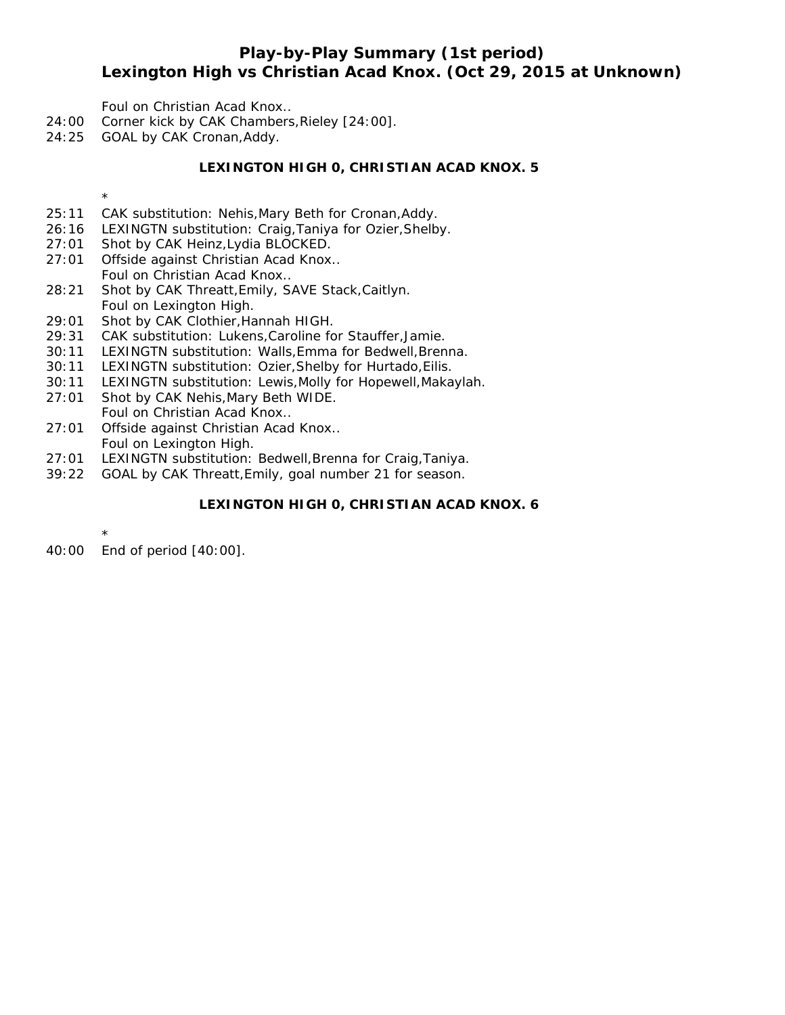### **Play-by-Play Summary (1st period) Lexington High vs Christian Acad Knox. (Oct 29, 2015 at Unknown)**

Foul on Christian Acad Knox..

- 24:00 Corner kick by CAK Chambers,Rieley [24:00].
- 24:25 GOAL by CAK Cronan,Addy.

#### **LEXINGTON HIGH 0, CHRISTIAN ACAD KNOX. 5**

\*

- 25:11 CAK substitution: Nehis,Mary Beth for Cronan,Addy.
- 26:16 LEXINGTN substitution: Craig,Taniya for Ozier,Shelby.
- 27:01 Shot by CAK Heinz,Lydia BLOCKED.
- 27:01 Offside against Christian Acad Knox.. Foul on Christian Acad Knox..
- 28:21 Shot by CAK Threatt,Emily, SAVE Stack,Caitlyn. Foul on Lexington High.
- 29:01 Shot by CAK Clothier,Hannah HIGH.
- 29:31 CAK substitution: Lukens,Caroline for Stauffer,Jamie.
- 30:11 LEXINGTN substitution: Walls,Emma for Bedwell,Brenna.
- 30:11 LEXINGTN substitution: Ozier,Shelby for Hurtado,Eilis.
- 30:11 LEXINGTN substitution: Lewis,Molly for Hopewell,Makaylah.
- 27:01 Shot by CAK Nehis,Mary Beth WIDE. Foul on Christian Acad Knox..
- 27:01 Offside against Christian Acad Knox.. Foul on Lexington High.
- 27:01 LEXINGTN substitution: Bedwell,Brenna for Craig,Taniya.
- 39:22 GOAL by CAK Threatt,Emily, goal number 21 for season.

### **LEXINGTON HIGH 0, CHRISTIAN ACAD KNOX. 6**

\* 40:00 End of period [40:00].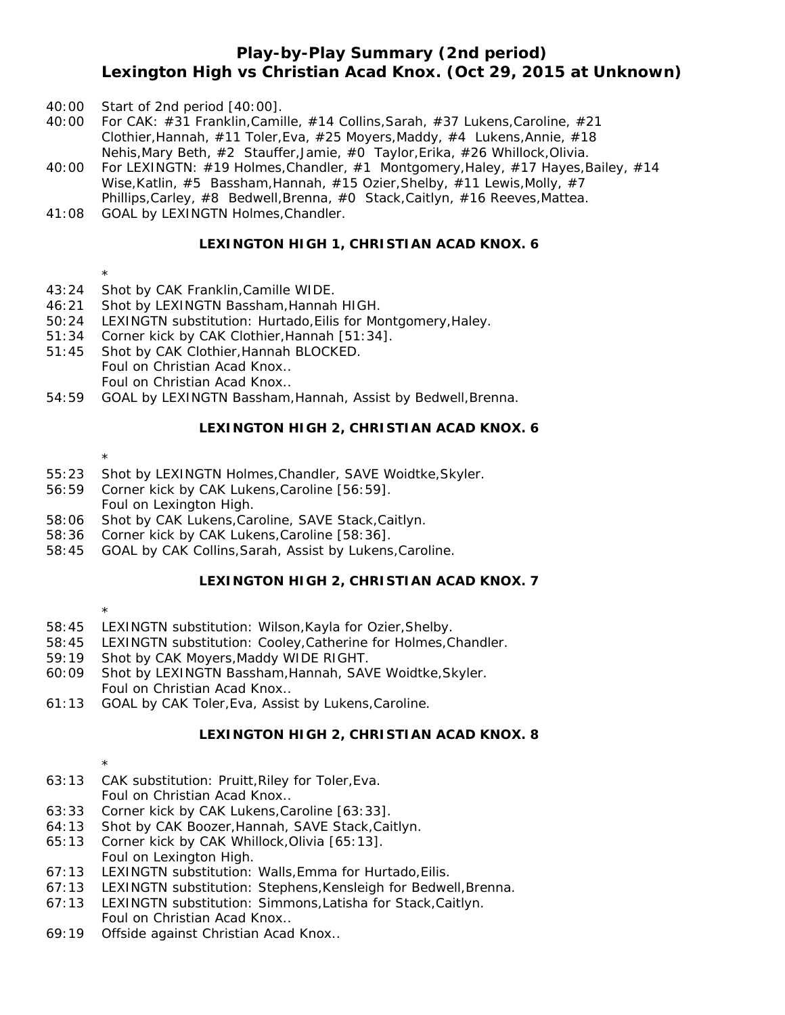### **Play-by-Play Summary (2nd period) Lexington High vs Christian Acad Knox. (Oct 29, 2015 at Unknown)**

- 40:00 Start of 2nd period [40:00].
- 40:00 For CAK: #31 Franklin,Camille, #14 Collins,Sarah, #37 Lukens,Caroline, #21 Clothier,Hannah, #11 Toler,Eva, #25 Moyers,Maddy, #4 Lukens,Annie, #18 Nehis,Mary Beth, #2 Stauffer,Jamie, #0 Taylor,Erika, #26 Whillock,Olivia.
- 40:00 For LEXINGTN: #19 Holmes,Chandler, #1 Montgomery,Haley, #17 Hayes,Bailey, #14 Wise,Katlin, #5 Bassham,Hannah, #15 Ozier,Shelby, #11 Lewis,Molly, #7 Phillips,Carley, #8 Bedwell,Brenna, #0 Stack,Caitlyn, #16 Reeves,Mattea.
- 41:08 GOAL by LEXINGTN Holmes,Chandler.

### **LEXINGTON HIGH 1, CHRISTIAN ACAD KNOX. 6**

\*

- 43:24 Shot by CAK Franklin,Camille WIDE.
- 46:21 Shot by LEXINGTN Bassham,Hannah HIGH.
- 50:24 LEXINGTN substitution: Hurtado,Eilis for Montgomery,Haley.
- 51:34 Corner kick by CAK Clothier,Hannah [51:34].
- 51:45 Shot by CAK Clothier,Hannah BLOCKED. Foul on Christian Acad Knox.. Foul on Christian Acad Knox..
- 54:59 GOAL by LEXINGTN Bassham,Hannah, Assist by Bedwell,Brenna.

#### **LEXINGTON HIGH 2, CHRISTIAN ACAD KNOX. 6**

- \*
- 55:23 Shot by LEXINGTN Holmes,Chandler, SAVE Woidtke,Skyler.
- 56:59 Corner kick by CAK Lukens,Caroline [56:59]. Foul on Lexington High.
- 58:06 Shot by CAK Lukens,Caroline, SAVE Stack,Caitlyn.
- 58:36 Corner kick by CAK Lukens,Caroline [58:36].
- 58:45 GOAL by CAK Collins,Sarah, Assist by Lukens,Caroline.

### **LEXINGTON HIGH 2, CHRISTIAN ACAD KNOX. 7**

- \*
- 58:45 LEXINGTN substitution: Wilson,Kayla for Ozier,Shelby.
- 58:45 LEXINGTN substitution: Cooley,Catherine for Holmes,Chandler.
- 59:19 Shot by CAK Moyers,Maddy WIDE RIGHT.
- 60:09 Shot by LEXINGTN Bassham,Hannah, SAVE Woidtke,Skyler. Foul on Christian Acad Knox..
- 61:13 GOAL by CAK Toler,Eva, Assist by Lukens,Caroline.

### **LEXINGTON HIGH 2, CHRISTIAN ACAD KNOX. 8**

- \*
- 63:13 CAK substitution: Pruitt,Riley for Toler,Eva. Foul on Christian Acad Knox..
- 63:33 Corner kick by CAK Lukens,Caroline [63:33].
- 64:13 Shot by CAK Boozer,Hannah, SAVE Stack,Caitlyn.
- 65:13 Corner kick by CAK Whillock,Olivia [65:13]. Foul on Lexington High.
- 67:13 LEXINGTN substitution: Walls,Emma for Hurtado,Eilis.
- 67:13 LEXINGTN substitution: Stephens,Kensleigh for Bedwell,Brenna.
- 67:13 LEXINGTN substitution: Simmons,Latisha for Stack,Caitlyn.
- Foul on Christian Acad Knox..
- 69:19 Offside against Christian Acad Knox..